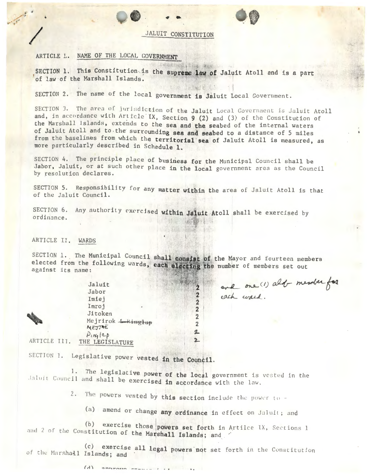# **JALUIT CONSTITUTION**

# ARTICLE L. NAME OF THE LOCAL GOVERNMENT

小鸡心的主要说,总会不一样好好。 SECTION 1. This Constitution is the supreme law of Jaluit Atoll and is a part of law of the Marshall Islands.

SECTION 2. The name of the local government is Jaluit Local Government.

SECTION 3. The area of jurisdiction of the Jaluit Local Government is Jaluit Atoll and, in accordance with Article IX, Section 9 (2) and (3) of the Constitution of the Marshall Islands, extends to the sea and the seabed of the internal waters of Jaluit Atoll and to the surrounding sea and seabed to a distance of 5 miles from the baselines from which the territorial sea of Jaluit Atoll is measured, as more particularly described in Schedule 1.

the Tring dies.

SECTION 4. The principle place of business for the Municipal Council shall be Jabor, Jaluit, or at such other place in the local government area as the Council by resolution declares.

SECTION 5. Responsibility for any matter within the area of Jaluit Atoll is that of the Jaluit Council.

FEED BARBARY A THE

 $\overline{2}$ 

 $\overline{2}$ 

 $\ddot{2}$ 

 $\overline{2}$ 

 $\overline{2}$ 

 $\overline{2}$ 

 $\overline{\mathbf{2}}$ 

 $\overline{2}$ 

SECTION 6. Any authority exercised within Jaluit Atoll shall be exercised by ordinance. The Control of the Control of the Control of

#### ARTICLE II. WARDS

SECTION 1. The Municipal Council shall consist of the Mayor and fourteen members elected from the following wards, each electing the number of members set out against its name:

> Jaluit 法法律法 Jabor Imiei Imroj Jitoken Mejrirok & Hinglap NEJJAE  $P_{1}r_{1}e_{0}$

and one (1) ald member for

ARTICLE III. THE LEGISLATURE

SECTION 1. Legislative power vested in the Council.

1. The legislative power of the local government is vested in the Jaluit Council and shall be exercised in accordance with the law.

2. The powers vested by this section include the power to -

(a) amend or change any ordinance in effect on Jaluit; and

(b) exercise those powers set forth in Artilce IX, Sections 1 and 2 of the Constitution of the Marshall Islands; and

(c) exercise all legal powers not set forth in the Constitution of the Marshall Islands; and

 $(A)$  annvous second  $(A)$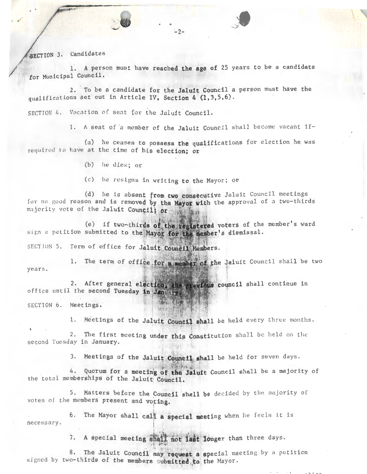SECTION 3. Candidates

 $\overline{\phantom{a}}$ 1. A person must have reached the age of 25 years to be a candidate for Municipal Council.

~2

2. To be a candidate for the Jaluit Council a person must have the qualifications set out in Article IV, Section 4  $(1,3,5,6)$ .

SECTION 4. Vacation of seat for the Jaluit Council.

1. A seat of a member of the Jaluit Council shall become vacant if-

(a) he ceases to possess the qualifications for election he was required to have at the time of his election; or

(b) he dies; or

(c) he resigns in writing to the Mayor; ow

(d) he is absent from two consecutive Jaluit Council meetings for no good reason and is removed by the Mayor with the approval of a two-thirds majority vote of the Jaluit Council; or **DATE** I

texed voters of the member's ward 's dismissal.

SECTION 5. Term of office for Jaluit Council Members.

1. The term of office for a serior of the Jaluit Council shall be two years .  $\mathbb{1}$ 

2. After general election, the provious council shall continue in office until the second Tuesday in

→ 日本 197

SECTTON 6. Meetings .

1. Meetings of the Jaluit Council shall be held every three months.

2. The first meeting under this Constitution shall be held on the second Tuesday in January.

3. Meetings of the Jaluit Council shall be held for seven days.

4. Quorum for a meeting of the Jaluit Council shall be a majority of the total memberships of the Jaluit Council.

5. Matters before the Council shall be decided by the majority of votes of the members present and voting.

necessary. 6. The Mayor shall call a special meeting when he feels it is

7. A special meeting shall not last longer than three days.

signed by two-thirds of the members submitted to the Mayor. 8. The Jaluit Council may request a special meeting by a petition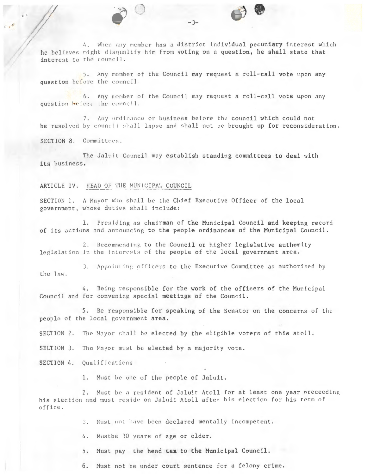4. When any member has a district individual pecuniary interest which he believes might disqualify him from voting on a question, he shall state that interest to the council.

 $-3-$ 

5. Any member of the Council may request a roll-call vote upon any question before the council.

6. Any member of the Council may request a roll-call vote upon any question before the conneil.

7. Any ordinance or business before the council which could not be resolved by council shall lapse and shall not be brought up for reconsideration..

SECTION 8. Committees.

The Jaluit Council may establish standing committees to deal with its business.

ARTICLE IV. HEAD OF THE MUNICIPAL COUNCIL

SECTION 1. A Mayor who shall be the Chief Executive Officer of the local government, whose duties shall include:

1. Presiding as chairman of the Municipal Council and keeping record of its actions and announcing to the people ordinances of the Municipal Council.

2. Recommending to the Council or higher legislative authority legislation in the interests of the people of the local government area.

3. Appointing officers to the Executive Committee as authorized by the law.

4. Being responsible for the work of the officers of the Municipal Council and for convening special meetings of the Council.

5. Be responsible for speaking of the Senator on the concerns of the people of the local government area.

SECTION 2. The Mayor shall be elected by the eligible voters of this atoll.

SECTION 3. The Mayor must be elected by a majority vote.

SECTION 4. Qualifications

1. Must be one of the people of Jaluit.

2. Must be a resident of Jaluit Atoll for at least one year preceeding his election and must reside on Jaluit Atoll after his election for his term of office.

3. Must not have been declared mentally incompetent.

4. Mustbe 30 years of age or older.

5. Must pay the head tax to the Municipal Council.

6. Must not be under court sentence for a felony crime.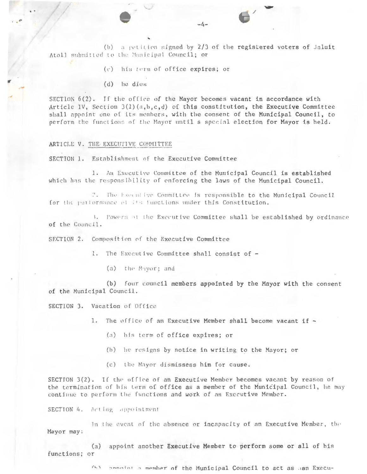(b) a petition signed by 2/3 of the registered voters of Jaluit Atoll submitted to the Municipal Council; or

 $-4-$ 

- (c) his term of office expires; or
- (d) he dies

SECTION 6(2). If the office of the Mayor becomes vacant in accordance with Article IV, Section  $3(1)(a,b,c,d)$  of this constitution, the Executive Committee shall appoint one of its members, with the consent of the Municipal Council, to perform the functions of the Mayor until s special election for Mayor is held.

#### ARTICLE V. THE EXECUTIVE COMMITTEE

SECTION 1. Establishment of the Executive Committee

1. An Executive Committee of the Municipal Council is established which has the responsibility of enforcing the laws of the Municipal Council.

2. The Executive Committee is responsible to the Municipal Council for the performance of its functions under this Constitution.

3. Powers of the Executive Committee shall be established by ordinance of the Council.

SECTION 2. Composition of the Executive Committee

1. The Executive Committee shall consist of -

(a) the Mayor; and

(b) four council members appointed by the Mayor with the consent of the Municipal Council.

SECTION 3. Vacation of Office

1. The office of an Executive Member shall become vacant if -

- (a) his term of office expires; or
- (b) he resigns by notice in writing to the Mayor; or
- (c) the Mayor dismissess him for cause.

SECTION 3(2). If the office of an Executive Member becomes vacant by reason of the termination of his term of office as a member of the Municipal Council, he may continue to perform the functions and work of an Executive Member.

SECTION 4. Acting appointment

In the event of the absence or incapacity of an Executive Member, the Mayor may:

(a) appoint another Executive Member to perform some or all of his functions; or

condition member of the Municipal Council to act as han Execu-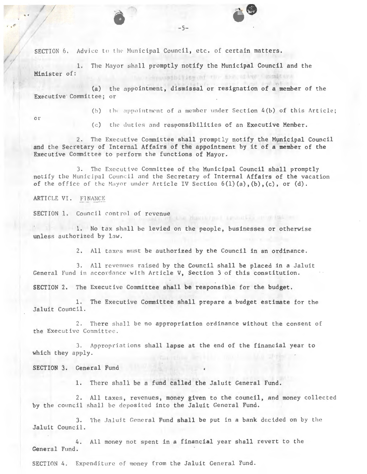SECTION 6. Advice to the Municipal Council, etc. of certain matters.

1. The Mayor shall promptly notify the Municipal Council and the Minister of: - investigate of the the of two signal

(a) the appointment, dismissal or resignation of a member of the Executive Committee; or

 $-5-$ 

or

(b) the appointment of a member under Section 4(b) of this Article;

the control pail around the representative

(c) the duties and responsibilities of an Executive Member.

2. The Executive Committee shall promptly notify the Municipal Council and the Secretary of Internal Affairs of the appointment by it of a member of the Executive Committee to perform the functions of Mayor.

3. The Executive Committee of the Municipal Council shall promptly notify the Municipal Council and the Secretary of Internal Affairs of the vacation of the office of the Mayor under Article IV Section  $6(1)(a)$ ,  $(b)$ ,  $(c)$ , or  $(d)$ .

ARTICLE VI. FINANCE

SECTION 1. Council control of revenue

1. No tax shall be levied on the people, businesses or otherwise unless authorized by law.

2. All taxes must be authorized by the Council in an ordinance.

3. All revenues raised by the Council shall be placed in a Jaluit General Fund in accordance with Article V, Section 3 of this constitution.

SECTION 2. The Executive Committee shall be responsible for the budget.

1. The Executive Committee shall prepare a budget estimate for the Jaluit Council.

2. There shall be no appropriation ordinance without the consent of the Executive Committee.

3. Appropriations shall lapse at the end of the financial year to which they apply.

SECTION 3. General Fund

1. There shall be a fund called the Jaluit General Fund.

2. All taxes, revenues, money given to the council, and money collected by the council shall be deposited into the Jaluit General Fund.

3. The Jaluit General Fund shall be put in a bank decided on by the Jaluit Council.

4. All money not spent in a financial year shall revert to the General Fund.

SECTION 4. Expenditure of money from the Jaluit General Fund.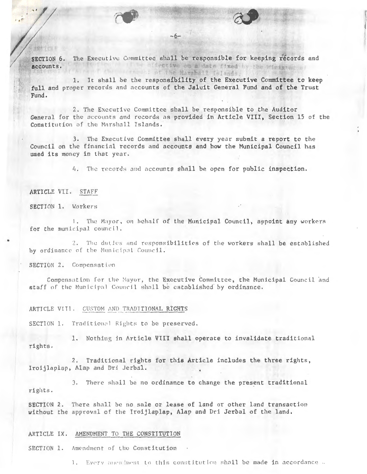The Executive Committee shall be responsible for keeping records and SECTION 6. in the first it be difective on addate fixed by the Winight of accounts. Arthursett the corrected of the Marshall felands.

 $-6-$ 

1. It shall be the responsibility of the Executive Committee to keep full and proper records and accounts of the Jaluit General Fund and of the Trust Fund.

2. The Executive Committee shall be responsible to the Auditor General for the accounts and records as provided in Article VIII, Section 15 of the Constitution of the Marshall Islands.

3. The Executive Committee shall every year submit a report to the Council on the financial records and accounts and how the Municipal Council has used its money in that year.

4. The records and accounts shall be open for public inspection.

### ARTICLE VII. STAFF

## SECTION 1. Workers

1. The Mayor, on behalf of the Municipal Council, appoint any workers for the municipal council.

2. The duties and responsibilities of the workers shall be established by ordinance of the Municipal Council.

SECTION 2. Compensation

Compensation for the Mayor, the Executive Committee, the Municipal Council and staff of the Municipal Council shall be established by ordinance.

### ARTICLE VIII. CUSTOM AND TRADITIONAL RIGHTS

SECTION 1. Traditional Rights to be preserved.

1. Nothing in Article VIII shall operate to invalidate traditional rights.

2. Traditional rights for this Article includes the three rights, Iroijlaplap, Alap and Dri Jerbal.

3. There shall be no ordinance to change the present traditional rights.

SECTION 2. There shall be no sale or lease of land or other land transaction without the approval of the Iroijlaplap, Alap and Dri Jerbal of the land.

### ARTICLE IX. AMENDMENT TO THE CONSTITUTION

SECTION 1. Amendment of the Constitution

1. Every anendment to this constitution shall be made in accordance.